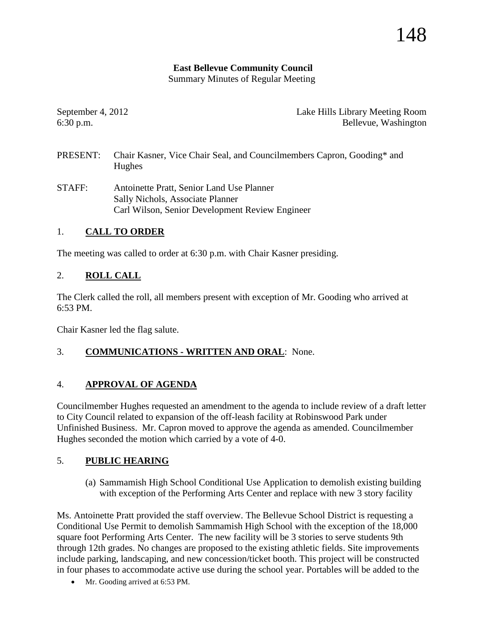## **East Bellevue Community Council**

Summary Minutes of Regular Meeting

September 4, 2012 Lake Hills Library Meeting Room 6:30 p.m. Bellevue, Washington

- PRESENT: Chair Kasner, Vice Chair Seal, and Councilmembers Capron, Gooding\* and Hughes
- STAFF: Antoinette Pratt, Senior Land Use Planner Sally Nichols, Associate Planner Carl Wilson, Senior Development Review Engineer

## 1. **CALL TO ORDER**

The meeting was called to order at 6:30 p.m. with Chair Kasner presiding.

## 2. **ROLL CALL**

The Clerk called the roll, all members present with exception of Mr. Gooding who arrived at 6:53 PM.

Chair Kasner led the flag salute.

## 3. **COMMUNICATIONS - WRITTEN AND ORAL**: None.

## 4. **APPROVAL OF AGENDA**

Councilmember Hughes requested an amendment to the agenda to include review of a draft letter to City Council related to expansion of the off-leash facility at Robinswood Park under Unfinished Business. Mr. Capron moved to approve the agenda as amended. Councilmember Hughes seconded the motion which carried by a vote of 4-0.

## 5. **PUBLIC HEARING**

(a) Sammamish High School Conditional Use Application to demolish existing building with exception of the Performing Arts Center and replace with new 3 story facility

Ms. Antoinette Pratt provided the staff overview. The Bellevue School District is requesting a Conditional Use Permit to demolish Sammamish High School with the exception of the 18,000 square foot Performing Arts Center. The new facility will be 3 stories to serve students 9th through 12th grades. No changes are proposed to the existing athletic fields. Site improvements include parking, landscaping, and new concession/ticket booth. This project will be constructed in four phases to accommodate active use during the school year. Portables will be added to the

• Mr. Gooding arrived at 6:53 PM.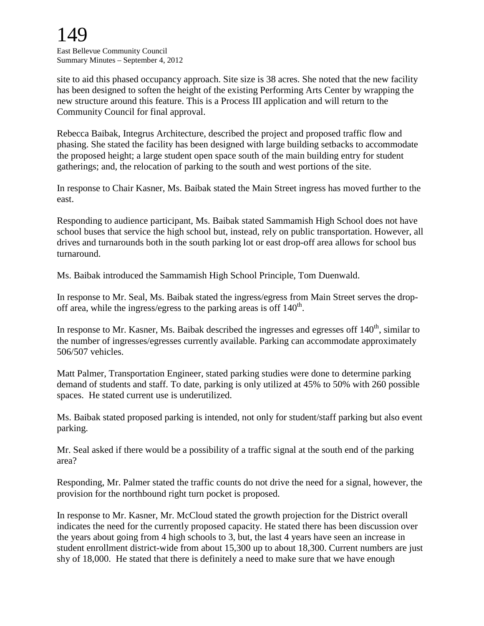# 149

East Bellevue Community Council Summary Minutes – September 4, 2012

site to aid this phased occupancy approach. Site size is 38 acres. She noted that the new facility has been designed to soften the height of the existing Performing Arts Center by wrapping the new structure around this feature. This is a Process III application and will return to the Community Council for final approval.

Rebecca Baibak, Integrus Architecture, described the project and proposed traffic flow and phasing. She stated the facility has been designed with large building setbacks to accommodate the proposed height; a large student open space south of the main building entry for student gatherings; and, the relocation of parking to the south and west portions of the site.

In response to Chair Kasner, Ms. Baibak stated the Main Street ingress has moved further to the east.

Responding to audience participant, Ms. Baibak stated Sammamish High School does not have school buses that service the high school but, instead, rely on public transportation. However, all drives and turnarounds both in the south parking lot or east drop-off area allows for school bus turnaround.

Ms. Baibak introduced the Sammamish High School Principle, Tom Duenwald.

In response to Mr. Seal, Ms. Baibak stated the ingress/egress from Main Street serves the dropoff area, while the ingress/egress to the parking areas is off  $140<sup>th</sup>$ .

In response to Mr. Kasner, Ms. Baibak described the ingresses and egresses off  $140<sup>th</sup>$ , similar to the number of ingresses/egresses currently available. Parking can accommodate approximately 506/507 vehicles.

Matt Palmer, Transportation Engineer, stated parking studies were done to determine parking demand of students and staff. To date, parking is only utilized at 45% to 50% with 260 possible spaces. He stated current use is underutilized.

Ms. Baibak stated proposed parking is intended, not only for student/staff parking but also event parking.

Mr. Seal asked if there would be a possibility of a traffic signal at the south end of the parking area?

Responding, Mr. Palmer stated the traffic counts do not drive the need for a signal, however, the provision for the northbound right turn pocket is proposed.

In response to Mr. Kasner, Mr. McCloud stated the growth projection for the District overall indicates the need for the currently proposed capacity. He stated there has been discussion over the years about going from 4 high schools to 3, but, the last 4 years have seen an increase in student enrollment district-wide from about 15,300 up to about 18,300. Current numbers are just shy of 18,000. He stated that there is definitely a need to make sure that we have enough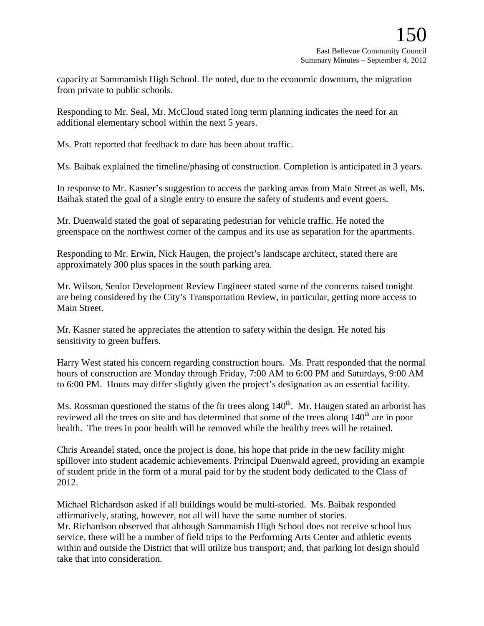capacity at Sammamish High School. He noted, due to the economic downturn, the migration from private to public schools.

Responding to Mr. Seal, Mr. McCloud stated long term planning indicates the need for an additional elementary school within the next 5 years.

Ms. Pratt reported that feedback to date has been about traffic.

Ms. Baibak explained the timeline/phasing of construction. Completion is anticipated in 3 years.

In response to Mr. Kasner's suggestion to access the parking areas from Main Street as well, Ms. Baibak stated the goal of a single entry to ensure the safety of students and event goers.

Mr. Duenwald stated the goal of separating pedestrian for vehicle traffic. He noted the greenspace on the northwest corner of the campus and its use as separation for the apartments.

Responding to Mr. Erwin, Nick Haugen, the project's landscape architect, stated there are approximately 300 plus spaces in the south parking area.

Mr. Wilson, Senior Development Review Engineer stated some of the concerns raised tonight are being considered by the City's Transportation Review, in particular, getting more access to Main Street.

Mr. Kasner stated he appreciates the attention to safety within the design. He noted his sensitivity to green buffers.

Harry West stated his concern regarding construction hours. Ms. Pratt responded that the normal hours of construction are Monday through Friday, 7:00 AM to 6:00 PM and Saturdays, 9:00 AM to 6:00 PM. Hours may differ slightly given the project's designation as an essential facility.

Ms. Rossman questioned the status of the fir trees along  $140<sup>th</sup>$ . Mr. Haugen stated an arborist has reviewed all the trees on site and has determined that some of the trees along 140<sup>th</sup> are in poor health. The trees in poor health will be removed while the healthy trees will be retained.

Chris Areandel stated, once the project is done, his hope that pride in the new facility might spillover into student academic achievements. Principal Duenwald agreed, providing an example of student pride in the form of a mural paid for by the student body dedicated to the Class of 2012.

Michael Richardson asked if all buildings would be multi-storied. Ms. Baibak responded affirmatively, stating, however, not all will have the same number of stories. Mr. Richardson observed that although Sammamish High School does not receive school bus service, there will be a number of field trips to the Performing Arts Center and athletic events within and outside the District that will utilize bus transport; and, that parking lot design should take that into consideration.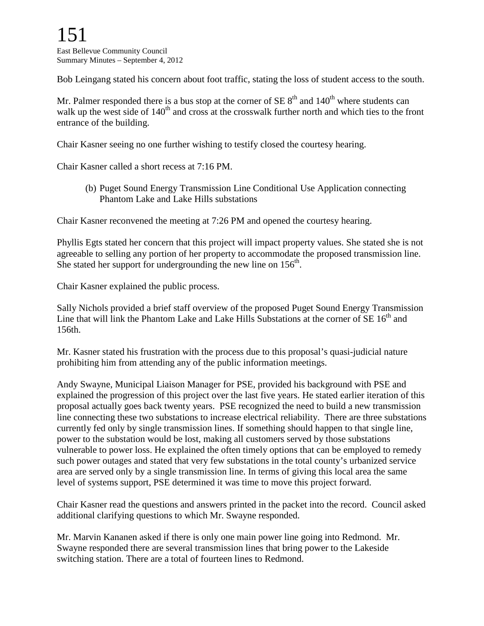Bob Leingang stated his concern about foot traffic, stating the loss of student access to the south.

Mr. Palmer responded there is a bus stop at the corner of  $SE 8<sup>th</sup>$  and  $140<sup>th</sup>$  where students can walk up the west side of  $140<sup>th</sup>$  and cross at the crosswalk further north and which ties to the front entrance of the building.

Chair Kasner seeing no one further wishing to testify closed the courtesy hearing.

Chair Kasner called a short recess at 7:16 PM.

(b) Puget Sound Energy Transmission Line Conditional Use Application connecting Phantom Lake and Lake Hills substations

Chair Kasner reconvened the meeting at 7:26 PM and opened the courtesy hearing.

Phyllis Egts stated her concern that this project will impact property values. She stated she is not agreeable to selling any portion of her property to accommodate the proposed transmission line. She stated her support for undergrounding the new line on  $156<sup>th</sup>$ .

Chair Kasner explained the public process.

Sally Nichols provided a brief staff overview of the proposed Puget Sound Energy Transmission Line that will link the Phantom Lake and Lake Hills Substations at the corner of  $SE 16<sup>th</sup>$  and 156th.

Mr. Kasner stated his frustration with the process due to this proposal's quasi-judicial nature prohibiting him from attending any of the public information meetings.

Andy Swayne, Municipal Liaison Manager for PSE, provided his background with PSE and explained the progression of this project over the last five years. He stated earlier iteration of this proposal actually goes back twenty years. PSE recognized the need to build a new transmission line connecting these two substations to increase electrical reliability. There are three substations currently fed only by single transmission lines. If something should happen to that single line, power to the substation would be lost, making all customers served by those substations vulnerable to power loss. He explained the often timely options that can be employed to remedy such power outages and stated that very few substations in the total county's urbanized service area are served only by a single transmission line. In terms of giving this local area the same level of systems support, PSE determined it was time to move this project forward.

Chair Kasner read the questions and answers printed in the packet into the record. Council asked additional clarifying questions to which Mr. Swayne responded.

Mr. Marvin Kananen asked if there is only one main power line going into Redmond. Mr. Swayne responded there are several transmission lines that bring power to the Lakeside switching station. There are a total of fourteen lines to Redmond.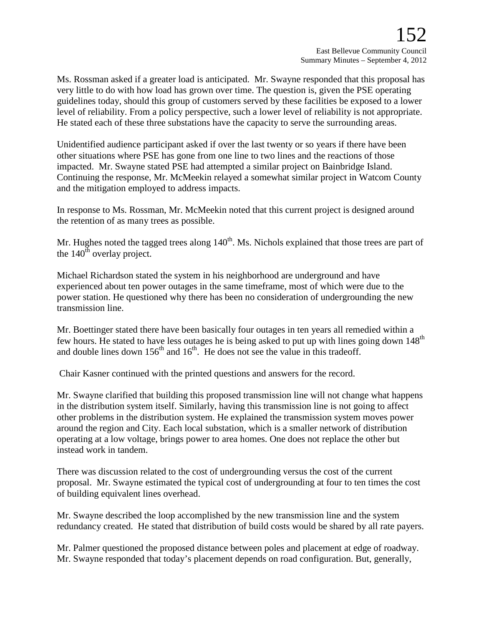Ms. Rossman asked if a greater load is anticipated. Mr. Swayne responded that this proposal has very little to do with how load has grown over time. The question is, given the PSE operating guidelines today, should this group of customers served by these facilities be exposed to a lower level of reliability. From a policy perspective, such a lower level of reliability is not appropriate. He stated each of these three substations have the capacity to serve the surrounding areas.

Unidentified audience participant asked if over the last twenty or so years if there have been other situations where PSE has gone from one line to two lines and the reactions of those impacted. Mr. Swayne stated PSE had attempted a similar project on Bainbridge Island. Continuing the response, Mr. McMeekin relayed a somewhat similar project in Watcom County and the mitigation employed to address impacts.

In response to Ms. Rossman, Mr. McMeekin noted that this current project is designed around the retention of as many trees as possible.

Mr. Hughes noted the tagged trees along 140<sup>th</sup>. Ms. Nichols explained that those trees are part of the  $140<sup>th</sup>$  overlay project.

Michael Richardson stated the system in his neighborhood are underground and have experienced about ten power outages in the same timeframe, most of which were due to the power station. He questioned why there has been no consideration of undergrounding the new transmission line.

Mr. Boettinger stated there have been basically four outages in ten years all remedied within a few hours. He stated to have less outages he is being asked to put up with lines going down 148<sup>th</sup> and double lines down  $156<sup>th</sup>$  and  $16<sup>th</sup>$ . He does not see the value in this tradeoff.

Chair Kasner continued with the printed questions and answers for the record.

Mr. Swayne clarified that building this proposed transmission line will not change what happens in the distribution system itself. Similarly, having this transmission line is not going to affect other problems in the distribution system. He explained the transmission system moves power around the region and City. Each local substation, which is a smaller network of distribution operating at a low voltage, brings power to area homes. One does not replace the other but instead work in tandem.

There was discussion related to the cost of undergrounding versus the cost of the current proposal. Mr. Swayne estimated the typical cost of undergrounding at four to ten times the cost of building equivalent lines overhead.

Mr. Swayne described the loop accomplished by the new transmission line and the system redundancy created. He stated that distribution of build costs would be shared by all rate payers.

Mr. Palmer questioned the proposed distance between poles and placement at edge of roadway. Mr. Swayne responded that today's placement depends on road configuration. But, generally,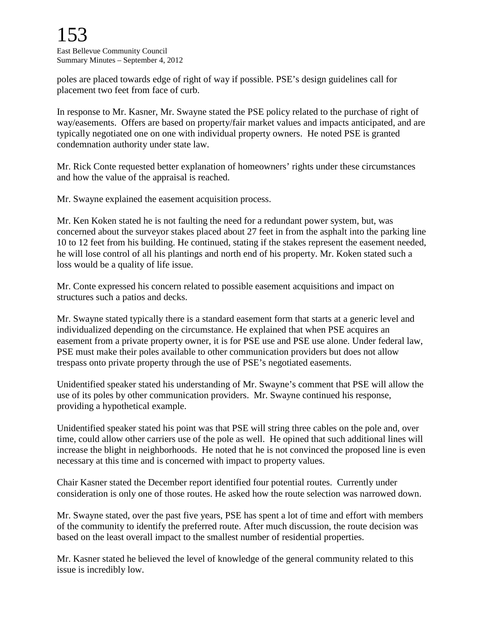poles are placed towards edge of right of way if possible. PSE's design guidelines call for placement two feet from face of curb.

In response to Mr. Kasner, Mr. Swayne stated the PSE policy related to the purchase of right of way/easements. Offers are based on property/fair market values and impacts anticipated, and are typically negotiated one on one with individual property owners. He noted PSE is granted condemnation authority under state law.

Mr. Rick Conte requested better explanation of homeowners' rights under these circumstances and how the value of the appraisal is reached.

Mr. Swayne explained the easement acquisition process.

Mr. Ken Koken stated he is not faulting the need for a redundant power system, but, was concerned about the surveyor stakes placed about 27 feet in from the asphalt into the parking line 10 to 12 feet from his building. He continued, stating if the stakes represent the easement needed, he will lose control of all his plantings and north end of his property. Mr. Koken stated such a loss would be a quality of life issue.

Mr. Conte expressed his concern related to possible easement acquisitions and impact on structures such a patios and decks.

Mr. Swayne stated typically there is a standard easement form that starts at a generic level and individualized depending on the circumstance. He explained that when PSE acquires an easement from a private property owner, it is for PSE use and PSE use alone. Under federal law, PSE must make their poles available to other communication providers but does not allow trespass onto private property through the use of PSE's negotiated easements.

Unidentified speaker stated his understanding of Mr. Swayne's comment that PSE will allow the use of its poles by other communication providers. Mr. Swayne continued his response, providing a hypothetical example.

Unidentified speaker stated his point was that PSE will string three cables on the pole and, over time, could allow other carriers use of the pole as well. He opined that such additional lines will increase the blight in neighborhoods. He noted that he is not convinced the proposed line is even necessary at this time and is concerned with impact to property values.

Chair Kasner stated the December report identified four potential routes. Currently under consideration is only one of those routes. He asked how the route selection was narrowed down.

Mr. Swayne stated, over the past five years, PSE has spent a lot of time and effort with members of the community to identify the preferred route. After much discussion, the route decision was based on the least overall impact to the smallest number of residential properties.

Mr. Kasner stated he believed the level of knowledge of the general community related to this issue is incredibly low.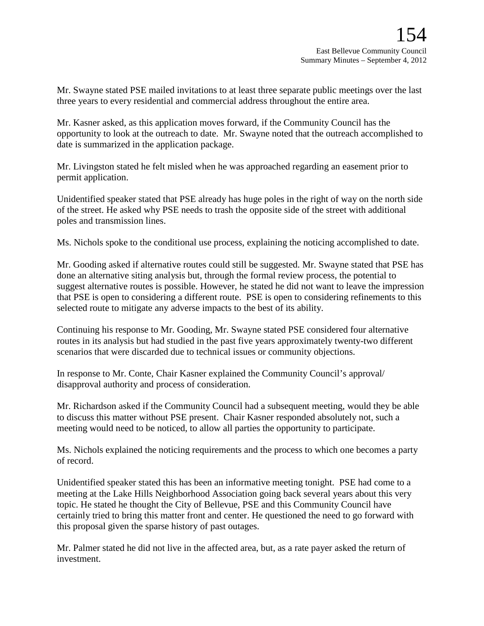Mr. Swayne stated PSE mailed invitations to at least three separate public meetings over the last three years to every residential and commercial address throughout the entire area.

Mr. Kasner asked, as this application moves forward, if the Community Council has the opportunity to look at the outreach to date. Mr. Swayne noted that the outreach accomplished to date is summarized in the application package.

Mr. Livingston stated he felt misled when he was approached regarding an easement prior to permit application.

Unidentified speaker stated that PSE already has huge poles in the right of way on the north side of the street. He asked why PSE needs to trash the opposite side of the street with additional poles and transmission lines.

Ms. Nichols spoke to the conditional use process, explaining the noticing accomplished to date.

Mr. Gooding asked if alternative routes could still be suggested. Mr. Swayne stated that PSE has done an alternative siting analysis but, through the formal review process, the potential to suggest alternative routes is possible. However, he stated he did not want to leave the impression that PSE is open to considering a different route. PSE is open to considering refinements to this selected route to mitigate any adverse impacts to the best of its ability.

Continuing his response to Mr. Gooding, Mr. Swayne stated PSE considered four alternative routes in its analysis but had studied in the past five years approximately twenty-two different scenarios that were discarded due to technical issues or community objections.

In response to Mr. Conte, Chair Kasner explained the Community Council's approval/ disapproval authority and process of consideration.

Mr. Richardson asked if the Community Council had a subsequent meeting, would they be able to discuss this matter without PSE present. Chair Kasner responded absolutely not, such a meeting would need to be noticed, to allow all parties the opportunity to participate.

Ms. Nichols explained the noticing requirements and the process to which one becomes a party of record.

Unidentified speaker stated this has been an informative meeting tonight. PSE had come to a meeting at the Lake Hills Neighborhood Association going back several years about this very topic. He stated he thought the City of Bellevue, PSE and this Community Council have certainly tried to bring this matter front and center. He questioned the need to go forward with this proposal given the sparse history of past outages.

Mr. Palmer stated he did not live in the affected area, but, as a rate payer asked the return of investment.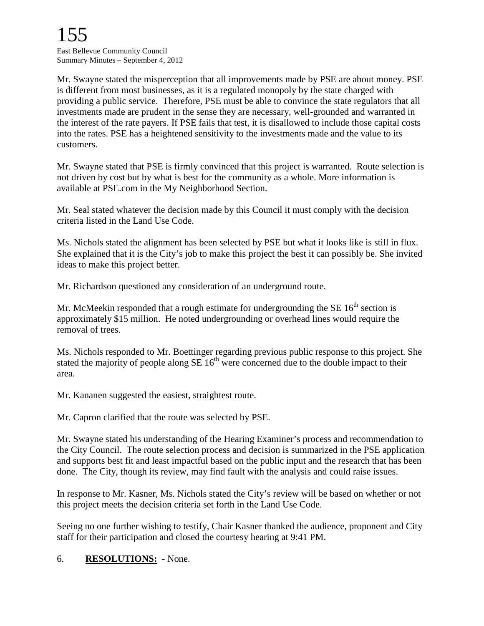Mr. Swayne stated the misperception that all improvements made by PSE are about money. PSE is different from most businesses, as it is a regulated monopoly by the state charged with providing a public service. Therefore, PSE must be able to convince the state regulators that all investments made are prudent in the sense they are necessary, well-grounded and warranted in the interest of the rate payers. If PSE fails that test, it is disallowed to include those capital costs into the rates. PSE has a heightened sensitivity to the investments made and the value to its customers.

Mr. Swayne stated that PSE is firmly convinced that this project is warranted. Route selection is not driven by cost but by what is best for the community as a whole. More information is available at PSE.com in the My Neighborhood Section.

Mr. Seal stated whatever the decision made by this Council it must comply with the decision criteria listed in the Land Use Code.

Ms. Nichols stated the alignment has been selected by PSE but what it looks like is still in flux. She explained that it is the City's job to make this project the best it can possibly be. She invited ideas to make this project better.

Mr. Richardson questioned any consideration of an underground route.

Mr. McMeekin responded that a rough estimate for undergrounding the SE  $16<sup>th</sup>$  section is approximately \$15 million. He noted undergrounding or overhead lines would require the removal of trees.

Ms. Nichols responded to Mr. Boettinger regarding previous public response to this project. She stated the majority of people along  $SE 16<sup>th</sup>$  were concerned due to the double impact to their area.

Mr. Kananen suggested the easiest, straightest route.

Mr. Capron clarified that the route was selected by PSE.

Mr. Swayne stated his understanding of the Hearing Examiner's process and recommendation to the City Council. The route selection process and decision is summarized in the PSE application and supports best fit and least impactful based on the public input and the research that has been done. The City, though its review, may find fault with the analysis and could raise issues.

In response to Mr. Kasner, Ms. Nichols stated the City's review will be based on whether or not this project meets the decision criteria set forth in the Land Use Code.

Seeing no one further wishing to testify, Chair Kasner thanked the audience, proponent and City staff for their participation and closed the courtesy hearing at 9:41 PM.

## 6. **RESOLUTIONS:** - None.